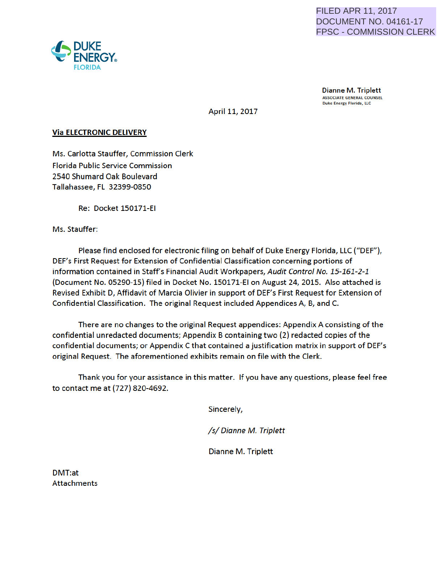

**Dianne M. Triplett**<br>ASSOCIATE GENERAL COUNSEL Duke Energy Florida, LLC

April 11, 2017

## Via ELECTRONIC DELIVERY

Ms. Carlotta Stauffer, Commission Clerk Florida Public Service Commission 2540 Shumard Oak Boulevard Tallahassee, FL 32399-0850

Re: Docket 150171-EI

Ms. Stauffer:

Please find enclosed for electronic filing on behalf of Duke Energy Florida, LLC ("DEF"), DEF's First Request for Extension of Confidential Classification concerning portions of information contained in Staff's Financial Audit Workpapers, Audit Control No. 15-161-2-1 (Document No. 05290-15) filed in Docket No. 150171-EI on August 24, 2015. Also attached is Revised Exhibit D, Affidavit of Marcia Olivier in support of DEF's First Request for Extension of Confidential Classification. The original Request included Appendices A, B, and C.

There are no changes to the original Request appendices: Appendix A consisting of the confidential unredacted documents; Appendix B containing two (2) redacted copies of the confidential documents; or Appendix C that contained a justification matrix in support of DEF's original Request. The aforementioned exhibits remain on file with the Clerk.

Thank you for your assistance in this matter. If you have any questions, please feel free to contact me at (727) 820-4692.

Sincerely,

/s/ Dianne M. Triplett

Dianne M. Triplett

DMT:at **Attachments** 

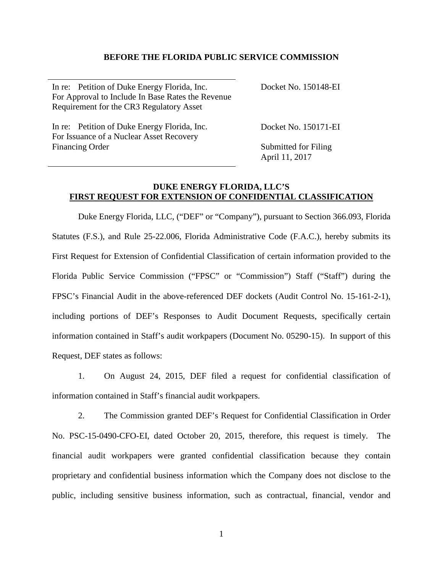### **BEFORE THE FLORIDA PUBLIC SERVICE COMMISSION**

| In re: Petition of Duke Energy Florida, Inc.      | Docket No. 150148-EI |
|---------------------------------------------------|----------------------|
| For Approval to Include In Base Rates the Revenue |                      |
| Requirement for the CR3 Regulatory Asset          |                      |
| In re: Petition of Duke Energy Florida, Inc.      | Docket No. 150171-EI |
| For Issuance of a Nuclear Asset Recovery          |                      |
| <b>Financing Order</b>                            | Submitted for Filing |

April 11, 2017

# **DUKE ENERGY FLORIDA, LLC'S FIRST REQUEST FOR EXTENSION OF CONFIDENTIAL CLASSIFICATION**

Duke Energy Florida, LLC, ("DEF" or "Company"), pursuant to Section 366.093, Florida Statutes (F.S.), and Rule 25-22.006, Florida Administrative Code (F.A.C.), hereby submits its First Request for Extension of Confidential Classification of certain information provided to the Florida Public Service Commission ("FPSC" or "Commission") Staff ("Staff") during the FPSC's Financial Audit in the above-referenced DEF dockets (Audit Control No. 15-161-2-1), including portions of DEF's Responses to Audit Document Requests, specifically certain information contained in Staff's audit workpapers (Document No. 05290-15). In support of this Request, DEF states as follows:

1. On August 24, 2015, DEF filed a request for confidential classification of information contained in Staff's financial audit workpapers.

2. The Commission granted DEF's Request for Confidential Classification in Order No. PSC-15-0490-CFO-EI, dated October 20, 2015, therefore, this request is timely. The financial audit workpapers were granted confidential classification because they contain proprietary and confidential business information which the Company does not disclose to the public, including sensitive business information, such as contractual, financial, vendor and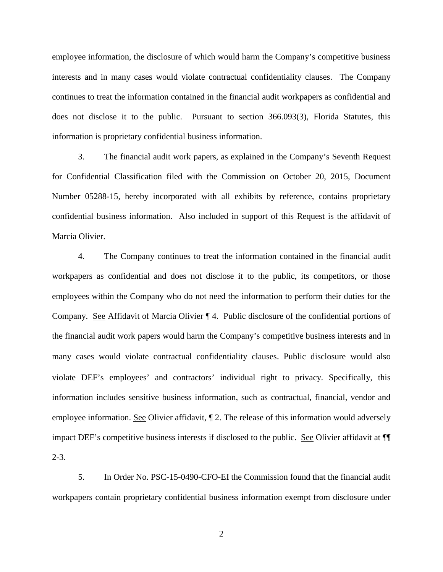employee information, the disclosure of which would harm the Company's competitive business interests and in many cases would violate contractual confidentiality clauses. The Company continues to treat the information contained in the financial audit workpapers as confidential and does not disclose it to the public. Pursuant to section 366.093(3), Florida Statutes, this information is proprietary confidential business information.

3. The financial audit work papers, as explained in the Company's Seventh Request for Confidential Classification filed with the Commission on October 20, 2015, Document Number 05288-15, hereby incorporated with all exhibits by reference, contains proprietary confidential business information. Also included in support of this Request is the affidavit of Marcia Olivier.

4. The Company continues to treat the information contained in the financial audit workpapers as confidential and does not disclose it to the public, its competitors, or those employees within the Company who do not need the information to perform their duties for the Company. See Affidavit of Marcia Olivier ¶ 4. Public disclosure of the confidential portions of the financial audit work papers would harm the Company's competitive business interests and in many cases would violate contractual confidentiality clauses. Public disclosure would also violate DEF's employees' and contractors' individual right to privacy. Specifically, this information includes sensitive business information, such as contractual, financial, vendor and employee information. See Olivier affidavit, ¶ 2. The release of this information would adversely impact DEF's competitive business interests if disclosed to the public. See Olivier affidavit at ¶¶ 2-3.

5. In Order No. PSC-15-0490-CFO-EI the Commission found that the financial audit workpapers contain proprietary confidential business information exempt from disclosure under

2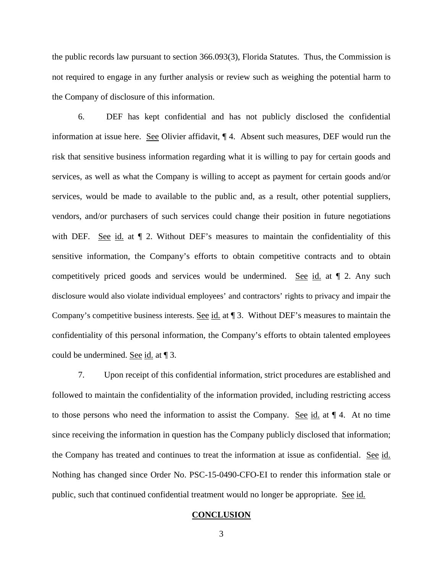the public records law pursuant to section 366.093(3), Florida Statutes. Thus, the Commission is not required to engage in any further analysis or review such as weighing the potential harm to the Company of disclosure of this information.

6. DEF has kept confidential and has not publicly disclosed the confidential information at issue here. See Olivier affidavit, ¶ 4. Absent such measures, DEF would run the risk that sensitive business information regarding what it is willing to pay for certain goods and services, as well as what the Company is willing to accept as payment for certain goods and/or services, would be made to available to the public and, as a result, other potential suppliers, vendors, and/or purchasers of such services could change their position in future negotiations with DEF. See id. at  $\P$  2. Without DEF's measures to maintain the confidentiality of this sensitive information, the Company's efforts to obtain competitive contracts and to obtain competitively priced goods and services would be undermined. See id. at ¶ 2. Any such disclosure would also violate individual employees' and contractors' rights to privacy and impair the Company's competitive business interests. See id. at ¶ 3. Without DEF's measures to maintain the confidentiality of this personal information, the Company's efforts to obtain talented employees could be undermined. See id. at ¶ 3.

7. Upon receipt of this confidential information, strict procedures are established and followed to maintain the confidentiality of the information provided, including restricting access to those persons who need the information to assist the Company. See id. at ¶ 4. At no time since receiving the information in question has the Company publicly disclosed that information; the Company has treated and continues to treat the information at issue as confidential. See id. Nothing has changed since Order No. PSC-15-0490-CFO-EI to render this information stale or public, such that continued confidential treatment would no longer be appropriate. See id.

#### **CONCLUSION**

3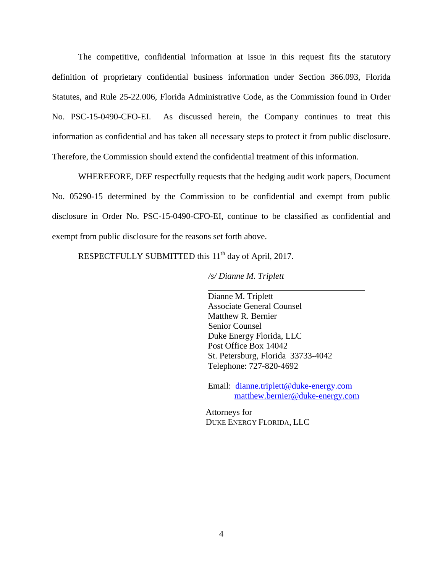The competitive, confidential information at issue in this request fits the statutory definition of proprietary confidential business information under Section 366.093, Florida Statutes, and Rule 25-22.006, Florida Administrative Code, as the Commission found in Order No. PSC-15-0490-CFO-EI. As discussed herein, the Company continues to treat this information as confidential and has taken all necessary steps to protect it from public disclosure. Therefore, the Commission should extend the confidential treatment of this information.

WHEREFORE, DEF respectfully requests that the hedging audit work papers, Document No. 05290-15 determined by the Commission to be confidential and exempt from public disclosure in Order No. PSC-15-0490-CFO-EI, continue to be classified as confidential and exempt from public disclosure for the reasons set forth above.

RESPECTFULLY SUBMITTED this 11<sup>th</sup> day of April, 2017.

*/s/ Dianne M. Triplett*

 Dianne M. Triplett Associate General Counsel Matthew R. Bernier Senior Counsel Duke Energy Florida, LLC Post Office Box 14042 St. Petersburg, Florida 33733-4042 Telephone: 727-820-4692

 Email: [dianne.triplett@duke-energy.com](mailto:dianne.triplett@duke-energy.com)  [matthew.bernier@duke-energy.com](mailto:matthew.bernier@duke-energy.com) 

Attorneys for DUKE ENERGY FLORIDA, LLC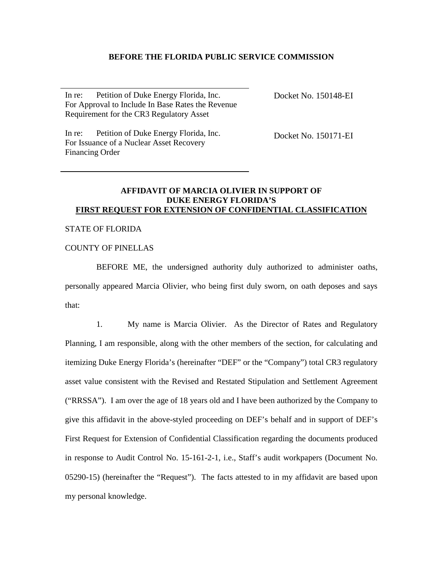# **BEFORE THE FLORIDA PUBLIC SERVICE COMMISSION**

In re: Petition of Duke Energy Florida, Inc. For Approval to Include In Base Rates the Revenue Requirement for the CR3 Regulatory Asset

Docket No. 150148-EI

In re: Petition of Duke Energy Florida, Inc. For Issuance of a Nuclear Asset Recovery Financing Order

Docket No. 150171-EI

### **AFFIDAVIT OF MARCIA OLIVIER IN SUPPORT OF DUKE ENERGY FLORIDA'S FIRST REQUEST FOR EXTENSION OF CONFIDENTIAL CLASSIFICATION**

#### STATE OF FLORIDA

### COUNTY OF PINELLAS

BEFORE ME, the undersigned authority duly authorized to administer oaths, personally appeared Marcia Olivier, who being first duly sworn, on oath deposes and says that:

 1. My name is Marcia Olivier. As the Director of Rates and Regulatory Planning, I am responsible, along with the other members of the section, for calculating and itemizing Duke Energy Florida's (hereinafter "DEF" or the "Company") total CR3 regulatory asset value consistent with the Revised and Restated Stipulation and Settlement Agreement ("RRSSA"). I am over the age of 18 years old and I have been authorized by the Company to give this affidavit in the above-styled proceeding on DEF's behalf and in support of DEF's First Request for Extension of Confidential Classification regarding the documents produced in response to Audit Control No. 15-161-2-1, i.e., Staff's audit workpapers (Document No. 05290-15) (hereinafter the "Request"). The facts attested to in my affidavit are based upon my personal knowledge.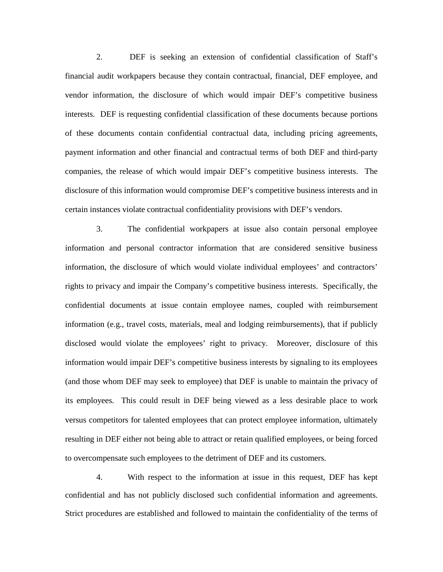2. DEF is seeking an extension of confidential classification of Staff's financial audit workpapers because they contain contractual, financial, DEF employee, and vendor information, the disclosure of which would impair DEF's competitive business interests. DEF is requesting confidential classification of these documents because portions of these documents contain confidential contractual data, including pricing agreements, payment information and other financial and contractual terms of both DEF and third-party companies, the release of which would impair DEF's competitive business interests. The disclosure of this information would compromise DEF's competitive business interests and in certain instances violate contractual confidentiality provisions with DEF's vendors.

 3. The confidential workpapers at issue also contain personal employee information and personal contractor information that are considered sensitive business information, the disclosure of which would violate individual employees' and contractors' rights to privacy and impair the Company's competitive business interests. Specifically, the confidential documents at issue contain employee names, coupled with reimbursement information (e.g., travel costs, materials, meal and lodging reimbursements), that if publicly disclosed would violate the employees' right to privacy. Moreover, disclosure of this information would impair DEF's competitive business interests by signaling to its employees (and those whom DEF may seek to employee) that DEF is unable to maintain the privacy of its employees. This could result in DEF being viewed as a less desirable place to work versus competitors for talented employees that can protect employee information, ultimately resulting in DEF either not being able to attract or retain qualified employees, or being forced to overcompensate such employees to the detriment of DEF and its customers.

4. With respect to the information at issue in this request, DEF has kept confidential and has not publicly disclosed such confidential information and agreements. Strict procedures are established and followed to maintain the confidentiality of the terms of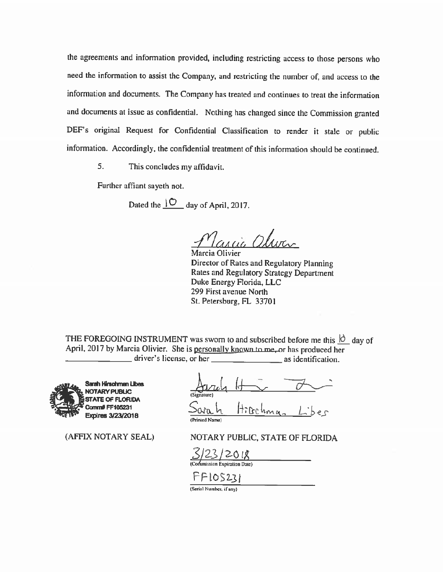the agreements and information provided, including restricting access to those persons who need the information to assist the Company, and restricting the number of, and access to the information and documents. The Company has treated and continues to treat the information and documents at issue as confidential. Nothing has changed since the Commission granted DEF's original Request for Confidential Classification to render it stale or public information. Accordingly, the confidential treatment of this information should be continued.

5. This concludes my affidavit.

Further affiant sayeth not.

Dated the  $\sqrt{\frac{O}{\text{day of April}}}$ , 2017.

*&4 c/u oiww.* 

Marcia Olivier Director of Rates and Regulatory Planning Rates and Regulatory Strategy Department Duke Energy Florida, LLC 299 First avenue North St. Petersburg, FL 33701

THE FOREGOING INSTRUMENT was sworn to and subscribed before me this  $\dot{Q}$  day of April, 2017 by Marcia Olivier. She is <u>personally known to me</u>, or has produced her<br>driver's license, or her as identification.  $\frac{1}{\sqrt{1-\frac{1}{\sqrt{1-\frac{1}{\sqrt{1-\frac{1}{\sqrt{1-\frac{1}{\sqrt{1-\frac{1}{\sqrt{1-\frac{1}{\sqrt{1-\frac{1}{\sqrt{1-\frac{1}{\sqrt{1-\frac{1}{\sqrt{1-\frac{1}{\sqrt{1-\frac{1}{\sqrt{1-\frac{1}{\sqrt{1-\frac{1}{\sqrt{1-\frac{1}{\sqrt{1-\frac{1}{\sqrt{1-\frac{1}{\sqrt{1-\frac{1}{\sqrt{1-\frac{1}{\sqrt{1-\frac{1}{\sqrt{1-\frac{1}{\sqrt{1-\frac{1}{\sqrt{1-\frac{1}{\sqrt{1-\frac{1}{\sqrt{1-\frac{1$ 



(AFFIX NOTARY SEAL)

Arcohma (Prinied Name)

NOTARY PUBLIC, STATE OF FLORJDA

 $\frac{3}{2}$   $\frac{23}{20}$   $\frac{18}{2}$ <br>(Commission Expiration Date)

 $FFIOS231$ 

(Serial Number, if any)